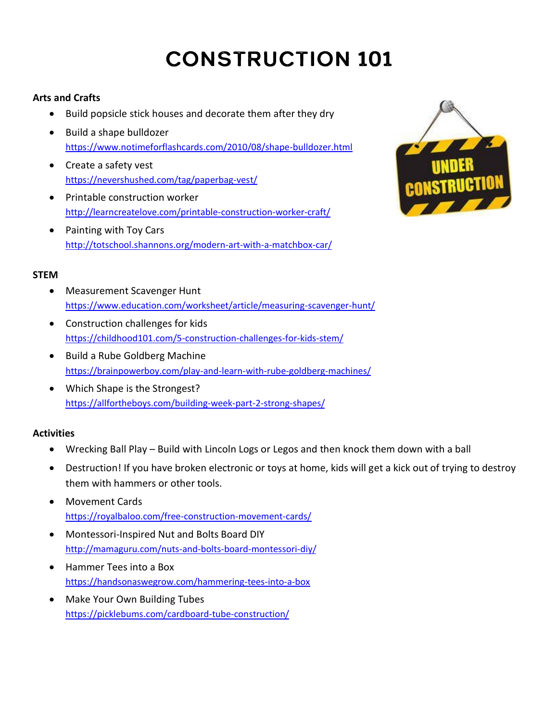# **CONSTRUCTION 101**

# **Arts and Crafts**

- Build popsicle stick houses and decorate them after they dry
- Build a shape bulldozer <https://www.notimeforflashcards.com/2010/08/shape-bulldozer.html>
- Create a safety vest <https://nevershushed.com/tag/paperbag-vest/>
- Printable construction worker <http://learncreatelove.com/printable-construction-worker-craft/>
- Painting with Toy Cars <http://totschool.shannons.org/modern-art-with-a-matchbox-car/>



## **STEM**

- Measurement Scavenger Hunt <https://www.education.com/worksheet/article/measuring-scavenger-hunt/>
- Construction challenges for kids <https://childhood101.com/5-construction-challenges-for-kids-stem/>
- Build a Rube Goldberg Machine <https://brainpowerboy.com/play-and-learn-with-rube-goldberg-machines/>
- Which Shape is the Strongest? <https://allfortheboys.com/building-week-part-2-strong-shapes/>

# **Activities**

- Wrecking Ball Play Build with Lincoln Logs or Legos and then knock them down with a ball
- Destruction! If you have broken electronic or toys at home, kids will get a kick out of trying to destroy them with hammers or other tools.
- Movement Cards <https://royalbaloo.com/free-construction-movement-cards/>
- Montessori-Inspired Nut and Bolts Board DIY <http://mamaguru.com/nuts-and-bolts-board-montessori-diy/>
- Hammer Tees into a Box <https://handsonaswegrow.com/hammering-tees-into-a-box>
- Make Your Own Building Tubes <https://picklebums.com/cardboard-tube-construction/>